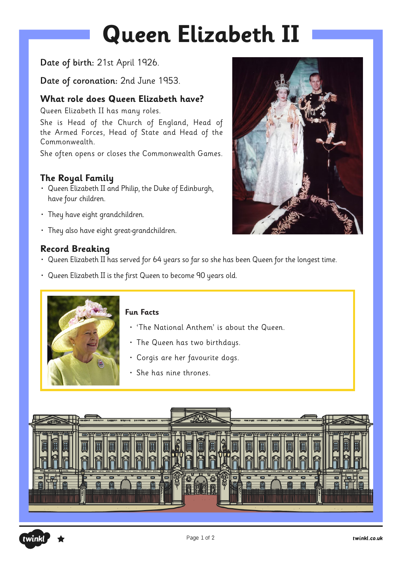# **Queen Elizabeth II**

#### Date of birth: 21st April 1926.

Date of coronation: 2nd June 1953.

#### **What role does Queen Elizabeth have?**

Queen Elizabeth II has many roles.

She is Head of the Church of England, Head of the Armed Forces, Head of State and Head of the Commonwealth.

She often opens or closes the Commonwealth Games.

### **The Royal Family**

- Queen Elizabeth II and Philip, the Duke of Edinburgh, have four children.
- They have eight grandchildren.
- They also have eight great-grandchildren.

#### **Record Breaking**

- Queen Elizabeth II has served for 64 years so far so she has been Queen for the longest time.
- Queen Elizabeth II is the first Queen to become 90 years old.



#### **Fun Facts**

- 'The National Anthem' is about the Queen.
- The Queen has two birthdays.
- Corgis are her favourite dogs.
- She has nine thrones.





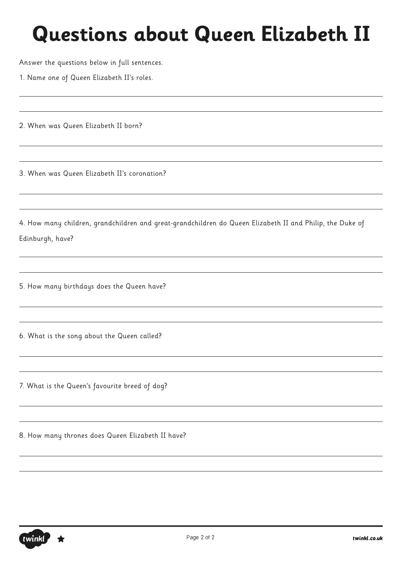Answer the questions below in full sentences.

1. Name one of Queen Elizabeth II's roles.

2. When was Queen Elizabeth II born?

3. When was Queen Elizabeth II's coronation?

4. How many children, grandchildren and great-grandchildren do Queen Elizabeth II and Philip, the Duke of Edinburgh, have?

5. How many birthdays does the Queen have?

6. What is the song about the Queen called?

7. What is the Queen's favourite breed of dog?

8. How many thrones does Queen Elizabeth II have?

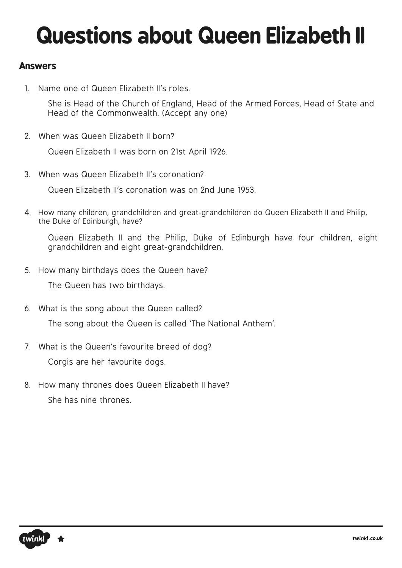### **Answers**

1. Name one of Queen Elizabeth II's roles.

She is Head of the Church of England, Head of the Armed Forces, Head of State and Head of the Commonwealth. (Accept any one)

2. When was Queen Elizabeth II born?

Queen Elizabeth II was born on 21st April 1926.

3. When was Queen Elizabeth II's coronation?

Queen Elizabeth II's coronation was on 2nd June 1953.

4. How many children, grandchildren and great-grandchildren do Queen Elizabeth II and Philip, the Duke of Edinburgh, have?

Queen Elizabeth II and the Philip, Duke of Edinburgh have four children, eight grandchildren and eight great-grandchildren.

5. How many birthdays does the Queen have?

The Queen has two birthdays.

6. What is the song about the Queen called?

The song about the Queen is called 'The National Anthem'.

7. What is the Queen's favourite breed of dog?

Corgis are her favourite dogs.

8. How many thrones does Queen Elizabeth II have? She has nine thrones.

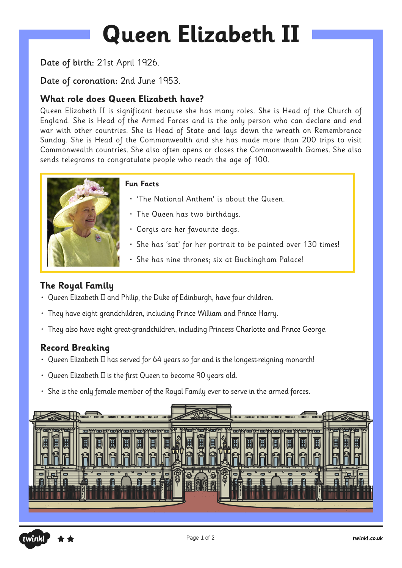# **Queen Elizabeth II**

#### Date of birth: 21st April 1926.

#### Date of coronation: 2nd June 1953.

#### **What role does Queen Elizabeth have?**

Queen Elizabeth II is significant because she has many roles. She is Head of the Church of England. She is Head of the Armed Forces and is the only person who can declare and end war with other countries. She is Head of State and lays down the wreath on Remembrance Sunday. She is Head of the Commonwealth and she has made more than 200 trips to visit Commonwealth countries. She also often opens or closes the Commonwealth Games. She also sends telegrams to congratulate people who reach the age of 100.



#### **Fun Facts**

- 'The National Anthem' is about the Queen.
- The Queen has two birthdays.
- Corgis are her favourite dogs.
- She has 'sat' for her portrait to be painted over 130 times!
- She has nine thrones; six at Buckingham Palace!

#### **The Royal Family**

- Queen Elizabeth II and Philip, the Duke of Edinburgh, have four children.
- They have eight grandchildren, including Prince William and Prince Harry.
- They also have eight great-grandchildren, including Princess Charlotte and Prince George.

#### **Record Breaking**

- Queen Elizabeth II has served for 64 years so far and is the longest-reigning monarch!
- Queen Elizabeth II is the first Queen to become 90 years old.
- She is the only female member of the Royal Family ever to serve in the armed forces.



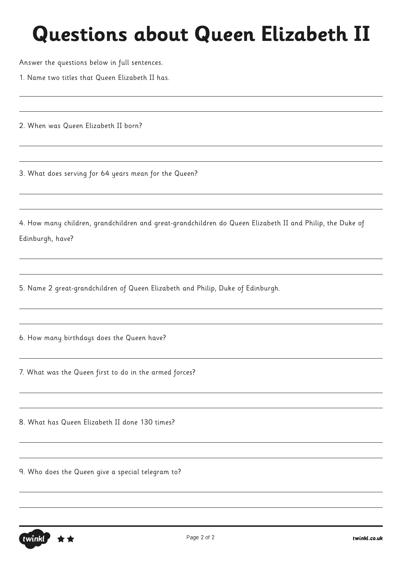Answer the questions below in full sentences.

1. Name two titles that Queen Elizabeth II has.

2. When was Queen Elizabeth II born?

3. What does serving for 64 years mean for the Queen?

4. How many children, grandchildren and great-grandchildren do Queen Elizabeth II and Philip, the Duke of Edinburgh, have?

5. Name 2 great-grandchildren of Queen Elizabeth and Philip, Duke of Edinburgh.

6. How many birthdays does the Queen have?

7. What was the Queen first to do in the armed forces?

8. What has Queen Elizabeth II done 130 times?

9. Who does the Queen give a special telegram to?

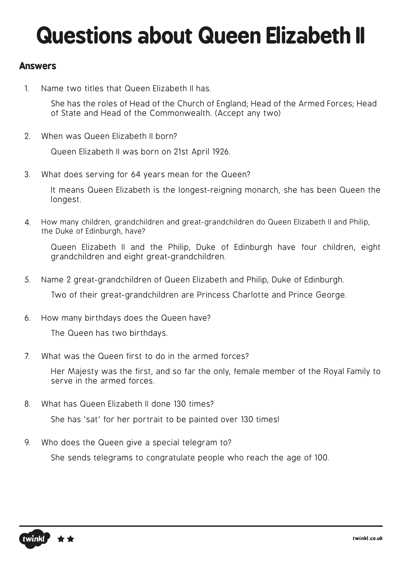### **Answers**

1. Name two titles that Queen Elizabeth II has.

She has the roles of Head of the Church of England; Head of the Armed Forces; Head of State and Head of the Commonwealth. (Accept any two)

2. When was Queen Elizabeth II born?

Queen Elizabeth II was born on 21st April 1926.

3. What does serving for 64 years mean for the Queen?

It means Queen Elizabeth is the longest-reigning monarch, she has been Queen the longest.

4. How many children, grandchildren and great-grandchildren do Queen Elizabeth II and Philip, the Duke of Edinburgh, have?

Queen Elizabeth II and the Philip, Duke of Edinburgh have four children, eight grandchildren and eight great-grandchildren.

5. Name 2 great-grandchildren of Queen Elizabeth and Philip, Duke of Edinburgh.

Two of their great-grandchildren are Princess Charlotte and Prince George.

6. How many birthdays does the Queen have?

The Queen has two birthdays.

7. What was the Queen first to do in the armed forces?

Her Majesty was the first, and so far the only, female member of the Royal Family to serve in the armed forces.

8. What has Queen Elizabeth II done 130 times?

She has 'sat' for her portrait to be painted over 130 times!

9. Who does the Queen give a special telegram to?

She sends telegrams to congratulate people who reach the age of 100.

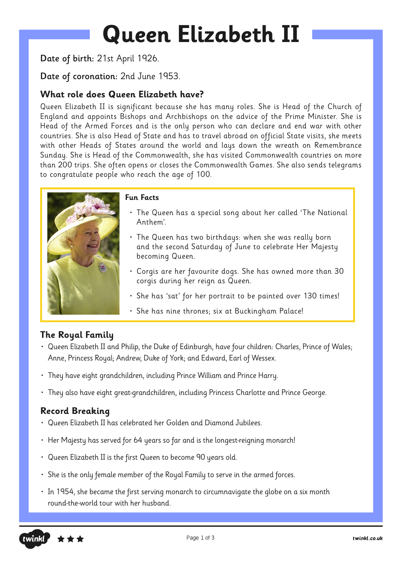# **Queen Elizabeth II**

Date of birth: 21st April 1926.

Date of coronation: 2nd June 1953.

#### **What role does Queen Elizabeth have?**

Queen Elizabeth II is significant because she has many roles. She is Head of the Church of England and appoints Bishops and Archbishops on the advice of the Prime Minister. She is Head of the Armed Forces and is the only person who can declare and end war with other countries. She is also Head of State and has to travel abroad on official State visits, she meets with other Heads of States around the world and lays down the wreath on Remembrance Sunday. She is Head of the Commonwealth, she has visited Commonwealth countries on more than 200 trips. She often opens or closes the Commonwealth Games. She also sends telegrams to congratulate people who reach the age of 100.



#### **Fun Facts**

- The Queen has a special song about her called 'The National Anthem'.
- The Queen has two birthdays: when she was really born and the second Saturday of June to celebrate Her Majesty becoming Queen.
- Corgis are her favourite dogs. She has owned more than 30 corgis during her reign as Queen.
- She has 'sat' for her portrait to be painted over 130 times!
- She has nine thrones; six at Buckingham Palace!

#### **The Royal Family**

- Queen Elizabeth II and Philip, the Duke of Edinburgh, have four children: Charles, Prince of Wales; Anne, Princess Royal; Andrew, Duke of York; and Edward, Earl of Wessex.
- They have eight grandchildren, including Prince William and Prince Harry.
- They also have eight great-grandchildren, including Princess Charlotte and Prince George.

#### **Record Breaking**

- Queen Elizabeth II has celebrated her Golden and Diamond Jubilees.
- Her Majesty has served for 64 years so far and is the longest-reigning monarch!
- Queen Elizabeth II is the first Queen to become 90 years old.
- She is the only female member of the Royal Family to serve in the armed forces.
- In 1954, she became the first serving monarch to circumnavigate the globe on a six month round-the-world tour with her husband.

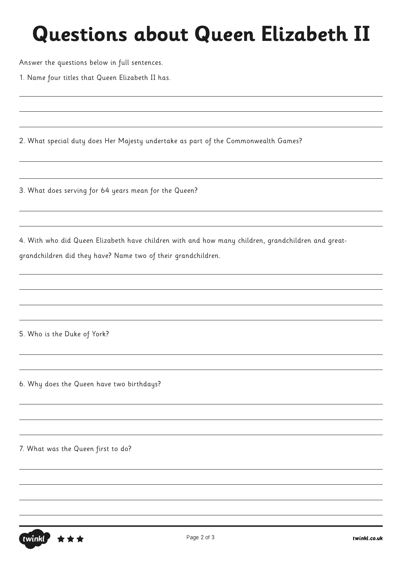Answer the questions below in full sentences.

1. Name four titles that Queen Elizabeth II has.

2. What special duty does Her Majesty undertake as part of the Commonwealth Games?

3. What does serving for 64 years mean for the Queen?

4. With who did Queen Elizabeth have children with and how many children, grandchildren and greatgrandchildren did they have? Name two of their grandchildren.

5. Who is the Duke of York?

6. Why does the Queen have two birthdays?

7. What was the Queen first to do?

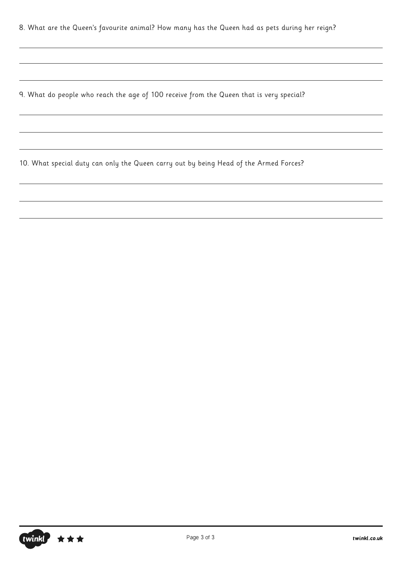8. What are the Queen's favourite animal? How many has the Queen had as pets during her reign?

9. What do people who reach the age of 100 receive from the Queen that is very special?

10. What special duty can only the Queen carry out by being Head of the Armed Forces?